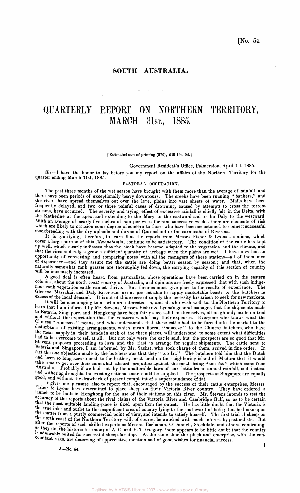# **SOUTH AUSTRALIA.**

# QUARTERLY REPORT ON NORTHERN TERRITORY, MARCH 31ST., 1885.

#### [Estimated cost of printing (870), £18 19s. 0d.]

Government Resident's Office, Palmerston, April 1st, 1885.

Sir—I have the honor to lay before you my report on the affairs of the Northern Territory for the quarter ending March 31st, 1885.

#### PASTORAL OCCUPATION.

The past three months of the wet season have brought with them more than the average of rainfall, and there have been periods of exceptionally heavy downpours. The creeks have been running " bankers," and the rivers have spread themselves out over the level plains into vast sheets of water. Mails have been frequently delayed, and two or three painful cases of drowning, caused by attempts to cross the torrent streams, have occurred. The severity and trying effect of excessive rainfall is chiefly felt in the Delta, with the Katherine at the apex, and extending to the Mary to the eastward and to the Daly to the westward. With an average of nearly five inches of rain per week for nine successive weeks, there are elements of risk which are likely to occasion some degree of concern to those who have been accustomed to connect successful stockbreeding with the dry uplands and downs of Queensland or the savannahs of Riverina.

It is gratifying, therefore, to learn that the reports from Messrs. Fisher & Lyons's stations, which cover a large portion of this *Mesopotamia,* continue to be satisfactory. The condition of the cattle has kept up well, which clearly indicates that the stock have become adapted to the vegetation and the climate, and that the rises and ridges grow a sufficient quantity of herbage when the plains are wet. J have now had an opportunity of conversing and comparing notes with all the managers of these stations—all of them men of experience—and they assure me the cattle are doing better season by season ; and that, when the naturally somewhat rank grasses are thoroughly fed down, the carrying capacity of this section of country will be immensely increased.

A good deal is often heard from pastoralists, whose operations have been carried on in the eastern colonies, about the north *coast country* of Australia, and opinions are freely expressed that with such indigenous rank vegetation cattle cannot thrive. But theories must give place to the results of experience. The Glencoe, Marrakai, and Daly River runs are at present able to supply marketable beasts to the butchers in excess of the local demand. It is out of this excess of supply the necessity has arisen to seek for new markets.

It will be encouraging to all who are interested in, and all who wish well to, the Northern Territory to learn that I am informed by Mr. Stevens, Messrs. Fisher & Lyons's general manager, that the shipments made to Batavia, Singapore, and Hongkong have been fairly successful in themselves, although only made on trial and without the expectation that the ventures would pay their expenses. Everyone who knows what the Chinese " squeezed " means, and who understands that these cattle had to be forced into the market to the disturbance of existing arrangements, which mean liberal " squeeze " to the Chinese butchers, who have the meat supply in their hands in each of the three places, will understand to some extent what difficulties had to be overcome to sell at all. But not only were the cattle sold, but the prospects are so good that Mr. Stevens proposes proceeding to Java and the East to arrange for regular shipments. The cattle sent to Batavia and Singapore, I am informed by Mr. Sachse, who took charge of them, arrived in fine order. In <sup>fact</sup> the one objection made by the butchers was that they " too fat." The butchers told him that the Dutch had been so long accustomed to the leathery meat bred on the neighboring island of Madura that it would take time to get over their somewhat absurd prejudice against the meat being " too fat" which came from<br>Australia. Probably if we had not by the unalterable laws of our latitudes an annual rainfall, and instead Australia. Probably if we had not by the unalterable laws of our latitudes an annual rainfall, and instead had withering droughts, the existing national taste could be supplied. The prospects at Singapore are equally good, and without the drawback of present complaint of a superabundance of fat.

 $E_{\rm E}$ , It gives me pleasure also to report that, encouraged by the success of their cattle enterprises, Messrs. Isher & Lyons have determined to place sheep on their Victoria River country. They have ordered a launch to be built in Hongkong for the use of their stations on this river. Mr. Stevens intends to test the accuracy of the reports about the rival claims of the Victoria River and Cambridge Gulf, so as to be certain that the most suitable landing-place is fixed upon from the outset. He has little doubt that the Victoria is the true inlet and outlet to the magnificent area of country lying to the southward of both; but he looks upon <sup>e matter</sup> from a purely commercial point of view, and intends to satisfy himself. The first trial of sheep on the north coast of the Northern Territory will, of course, be watched with much interest by pastoralists. But after the reports of such skilled experts as Messrs. Buchanan, O'Donnell, Stockdale, and others, confirming,  $\frac{48}{10}$  as they do, the historic testimony of A. C. and F. T. Gregory, there appears to be little doubt that the country <sup>15</sup> authirably suited for successful sheep-farming. At the same time the pluck and enterprise, with the concomitant risks, are deserving of appreciative mention and of good wishes for financial success.

A—No. 54.

I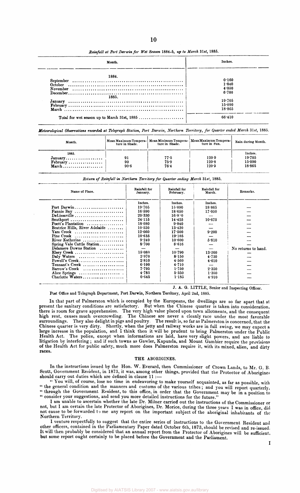| Month.                                      | Inches.                              |  |  |
|---------------------------------------------|--------------------------------------|--|--|
| 1884.<br>October<br>1885.                   | 0.160<br>1.840<br>4.050<br>6.700     |  |  |
| Total for wet season up to March 31st, 1885 | 19.705<br>15.090<br>18.865<br>66.410 |  |  |

*Rainfall at Port Darwin for Wet Season* **1884-5,** *up to March 31st,* **1885.** 

**10** 

*Meteorological Observations recorded at Telegraph Station, Port Darwin, Northern Territory, for Quarter ended March 31st,* **1885.** 

| Month.                                                                       | Mean Maximum Tempera-<br>ture in Shade. | ture in Shade.       | Mean Minimum Tempera-   Mean Maximum Tempera-  <br>ture in Sun. | Rain during Month.                    |
|------------------------------------------------------------------------------|-----------------------------------------|----------------------|-----------------------------------------------------------------|---------------------------------------|
| 1885.<br>$January \ldots \ldots \ldots \ldots \ldots$<br>$February$<br>March | 91<br>90<br>90.6                        | 77.5<br>75.9<br>76.4 | 120.9<br>120.8<br>120.9                                         | Inches.<br>19.705<br>15:090<br>18.865 |

*Return of Rainfall in Northern Territory for Quarter ending March 31st,* **1885.** 

| Name of Place.                                              | Rainfall for<br>January. | Rainfall for<br>February. | Rainfall for<br>March. | Remarks.            |
|-------------------------------------------------------------|--------------------------|---------------------------|------------------------|---------------------|
|                                                             | Inches.                  | Inches.                   | Inches.                |                     |
| Port Darwin                                                 | 19.705                   | 15:090                    | 18.865                 |                     |
| Fannie Bay                                                  | 16.590                   | 18.650                    | 17.050                 |                     |
| DeLissaville $\ldots$                                       | 20.330                   | 16.800                    |                        |                     |
| Southport $\dots\dots\dots\dots\dots\dots\dots\dots\dots$   | 24:115                   | 14.425                    | 10.675                 |                     |
| Poett's Plantation $\ldots \ldots \ldots \ldots$            | 18.080                   | 9.840                     |                        |                     |
| Beatrice Hills, River Adelaide                              | 10.530                   | 13.430                    |                        |                     |
| Yam Creek $\ldots$                                          | 12.660                   | $17 - 500$                | 9.200                  |                     |
| Pine Creek $\ldots, \ldots, \ldots, \ldots, \ldots, \ldots$ | 10.635                   | 19.105                    |                        |                     |
| River Katherine                                             | 9.240                    | 10.600                    | 5.810                  |                     |
| Spring Vale Cattle Station                                  | 8.700                    | 8.616                     |                        |                     |
| Delamere Downs Station                                      |                          |                           |                        | No returns to hand. |
| Elsey Creek                                                 | 15.080                   | 10.790                    | 13.260                 |                     |
| Daly Waters                                                 | 2.970                    | 8.150                     | 4.730                  |                     |
| Powell's Creek                                              | 2.810                    | 4.560                     | 4.610                  |                     |
| Tennant's Creek                                             | 6.100                    | 4.710                     |                        |                     |
| Barrow's Creek $\ldots, \ldots, \ldots, \ldots, \ldots$     | 7.795                    | 1.750                     | 2.350                  |                     |
| Alice Springs                                               | 4.785                    | 5.350                     | 1.380                  |                     |
| Charlotte Waters                                            | 0.645                    | 1.185                     | 4.910                  |                     |

J. A. G. LITTLE, Senior and Inspecting Officer.

Post Office and Telegraph Department, Port Darwin, Northern Territory, April 2nd, 1885.

In that part of Palmerston which is occupied by the Europeans, the dwellings are so far apart that at present the sanitary conditions are satisfactory. But when the Chinese quarter is taken into consideration, there is room for grave apprehension. The very high value placed upon town allotments, and the consequent high rent, causes much overcrowding. The Chinese are never a cleanly race under the most favorable surroundings. They also delight in pigs and poultry. The result is, so far as Palmerston is concerned, that the Chinese quarter is very dirty. Shortly, when the jetty and railway works are in full swing, we may expect a large increase in the population, and I think then it will be prudent to bring Palmerston under the Public Health Act. The police, except when informations are laid, have very slight powers, and are liable to litigation by interfering ; and if such towns as Gawler, Kapunda, and Mount Gambier require the provisions of the Health Act for public safety, much more does Palmerston require it, with its mixed, alien, and dirty races.

#### THE ABORIGINES.

In the instructions issued by the Hon. W. Everard, then Commissioner of Crown Lands, to Mr. G. B. Scott, Government Resident, in 1873, it was, among other things, provided that the Protector of Aborigines should carry out duties which are defined in clause 11 :-

" You will, of course, lose no time in endeavoring to make yourself acquainted, as far as possible, with " the general condition and the manners and customs of the various tribes; and you will report quarterly, " through the Government Resident, to this office, in order that the Government may be in a position to " consider your suggestions, and send you more detailed instructions for the future."

I am unable to ascertain whether the late Dr. Milner carried out the instructions of the Commissioner or not. but I am certain the late Protector of Aborigines, Dr. Morice, during the three years I was in office, did not cause to be forwarded to me any report on the important subject of the aboriginal inhabitants of the Northern Territory.

I venture respectfully to suggest that the entire series of instructions to the Government Resident and other officers, contained in the Parliamentary Paper dated October 6th, 1873, should be revised and re-issued. It will then probably be considered that an annual report from the Protector of Aborigines will be sufficient, but some report ought certainly to be placed before the Government and the Parliament.